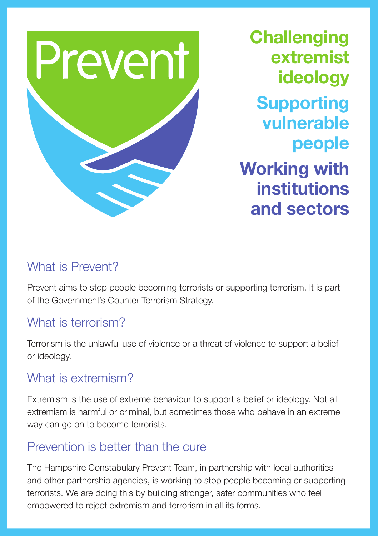

**Challenging** extremist ideology Supporting vulnerable people Working with institutions and sectors

### What is Prevent?

Prevent aims to stop people becoming terrorists or supporting terrorism. It is part of the Government's Counter Terrorism Strategy.

### What is terrorism?

Terrorism is the unlawful use of violence or a threat of violence to support a belief or ideology.

### What is extremism?

Extremism is the use of extreme behaviour to support a belief or ideology. Not all extremism is harmful or criminal, but sometimes those who behave in an extreme way can go on to become terrorists.

## Prevention is better than the cure

The Hampshire Constabulary Prevent Team, in partnership with local authorities and other partnership agencies, is working to stop people becoming or supporting terrorists. We are doing this by building stronger, safer communities who feel empowered to reject extremism and terrorism in all its forms.